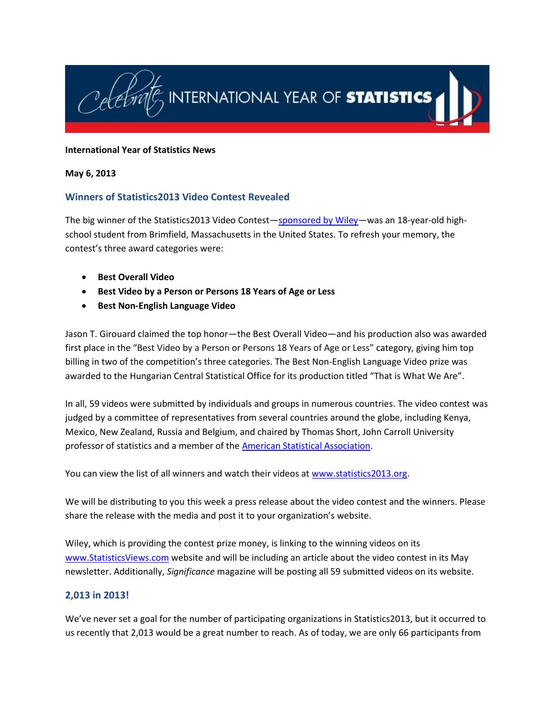

#### **International Year of Statistics News**

#### **May 6, 2013**

# **Winners of Statistics2013 Video Contest Revealed**

The big winner of the Statistics2013 Video Contest—[sponsored by Wiley](http://www.wiley.com/WileyCDA/)—was an 18-year-old highschool student from Brimfield, Massachusetts in the United States. To refresh your memory, the contest's three award categories were:

- **Best Overall Video**
- **Best Video by a Person or Persons 18 Years of Age or Less**
- **Best Non-English Language Video**

Jason T. Girouard claimed the top honor—the Best Overall Video—and his production also was awarded first place in the "Best Video by a Person or Persons 18 Years of Age or Less" category, giving him top billing in two of the competition's three categories. The Best Non-English Language Video prize was awarded to the Hungarian Central Statistical Office for its production titled "That is What We Are".

In all, 59 videos were submitted by individuals and groups in numerous countries. The video contest was judged by a committee of representatives from several countries around the globe, including Kenya, Mexico, New Zealand, Russia and Belgium, and chaired by Thomas Short, John Carroll University professor of statistics and a member of the [American Statistical Association.](http://www.amstat.org/)

You can view the list of all winners and watch their videos at [www.statistics2013.org.](http://www.statistics2013.org/)

We will be distributing to you this week a press release about the video contest and the winners. Please share the release with the media and post it to your organization's website.

Wiley, which is providing the contest prize money, is linking to the winning videos on its [www.StatisticsViews.com](http://www.statisticsviews.com/) website and will be including an article about the video contest in its May newsletter. Additionally, *Significance* magazine will be posting all 59 submitted videos on its website.

# **2,013 in 2013!**

We've never set a goal for the number of participating organizations in Statistics2013, but it occurred to us recently that 2,013 would be a great number to reach. As of today, we are only 66 participants from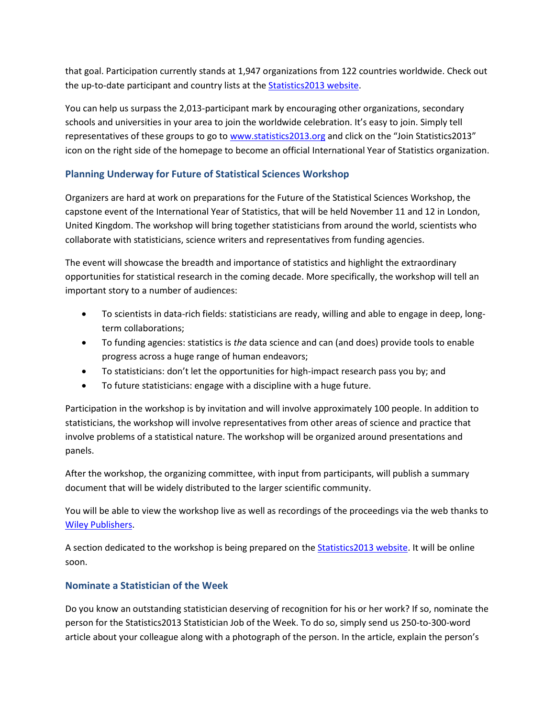that goal. Participation currently stands at 1,947 organizations from 122 countries worldwide. Check out the up-to-date participant and country lists at the [Statistics2013 website.](http://www.statistics2013.org/iyos/participants.cfm)

You can help us surpass the 2,013-participant mark by encouraging other organizations, secondary schools and universities in your area to join the worldwide celebration. It's easy to join. Simply tell representatives of these groups to go to [www.statistics2013.org](http://www.statistics2013.org/) and click on the "Join Statistics2013" icon on the right side of the homepage to become an official International Year of Statistics organization.

# **Planning Underway for Future of Statistical Sciences Workshop**

Organizers are hard at work on preparations for the Future of the Statistical Sciences Workshop, the capstone event of the International Year of Statistics, that will be held November 11 and 12 in London, United Kingdom. The workshop will bring together statisticians from around the world, scientists who collaborate with statisticians, science writers and representatives from funding agencies.

The event will showcase the breadth and importance of statistics and highlight the extraordinary opportunities for statistical research in the coming decade. More specifically, the workshop will tell an important story to a number of audiences:

- To scientists in data-rich fields: statisticians are ready, willing and able to engage in deep, longterm collaborations;
- To funding agencies: statistics is *the* data science and can (and does) provide tools to enable progress across a huge range of human endeavors;
- To statisticians: don't let the opportunities for high-impact research pass you by; and
- To future statisticians: engage with a discipline with a huge future.

Participation in the workshop is by invitation and will involve approximately 100 people. In addition to statisticians, the workshop will involve representatives from other areas of science and practice that involve problems of a statistical nature. The workshop will be organized around presentations and panels.

After the workshop, the organizing committee, with input from participants, will publish a summary document that will be widely distributed to the larger scientific community.

You will be able to view the workshop live as well as recordings of the proceedings via the web thanks to [Wiley Publishers.](http://www.wiley.com/WileyCDA/)

A section dedicated to the workshop is being prepared on th[e Statistics2013 website.](http://www.statistics2013.org/) It will be online soon.

# **Nominate a Statistician of the Week**

Do you know an outstanding statistician deserving of recognition for his or her work? If so, nominate the person for the Statistics2013 Statistician Job of the Week. To do so, simply send us 250-to-300-word article about your colleague along with a photograph of the person. In the article, explain the person's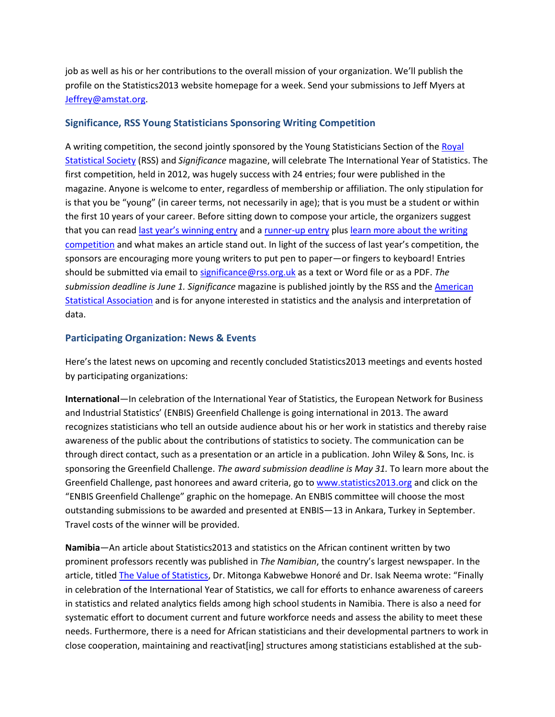job as well as his or her contributions to the overall mission of your organization. We'll publish the profile on the Statistics2013 website homepage for a week. Send your submissions to Jeff Myers at [Jeffrey@amstat.org.](mailto:Jeffrey@amstat.org)

#### **Significance, RSS Young Statisticians Sponsoring Writing Competition**

A writing competition, the second jointly sponsored by the Young Statisticians Section of the [Royal](http://www.rss.org.uk/site/cms/contentChapterView.asp?chapter=1)  [Statistical Society](http://www.rss.org.uk/site/cms/contentChapterView.asp?chapter=1) (RSS) and *Significance* magazine, will celebrate The International Year of Statistics. The first competition, held in 2012, was hugely success with 24 entries; four were published in the magazine. Anyone is welcome to enter, regardless of membership or affiliation. The only stipulation for is that you be "young" (in career terms, not necessarily in age); that is you must be a student or within the first 10 years of your career. Before sitting down to compose your article, the organizers suggest that you can read [last year's winning entry](http://onlinelibrary.wiley.com/doi/10.1111/j.1740-9713.2012.00572.x/abstract) and [a runner-up entry](http://onlinelibrary.wiley.com/doi/10.1111/j.1740-9713.2012.00600.x/abstract) plu[s learn more about the writing](http://www.significancemagazine.org/details/webexclusive/4374981/Writing-with-Significance-Writing-competition-to-celebrate-the-International-Yea.html)  [competition](http://www.significancemagazine.org/details/webexclusive/4374981/Writing-with-Significance-Writing-competition-to-celebrate-the-International-Yea.html) and what makes an article stand out. In light of the success of last year's competition, the sponsors are encouraging more young writers to put pen to paper—or fingers to keyboard! Entries should be submitted via email to [significance@rss.org.uk](mailto:significance@rss.org.uk) as a text or Word file or as a PDF. *The submission deadline is June 1. Significance* magazine is published jointly by the RSS and th[e American](http://www.amstat.org/)  [Statistical Association](http://www.amstat.org/) and is for anyone interested in statistics and the analysis and interpretation of data.

#### **Participating Organization: News & Events**

Here's the latest news on upcoming and recently concluded Statistics2013 meetings and events hosted by participating organizations:

**International**—In celebration of the International Year of Statistics, the European Network for Business and Industrial Statistics' (ENBIS) Greenfield Challenge is going international in 2013. The award recognizes statisticians who tell an outside audience about his or her work in statistics and thereby raise awareness of the public about the contributions of statistics to society. The communication can be through direct contact, such as a presentation or an article in a publication. John Wiley & Sons, Inc. is sponsoring the Greenfield Challenge. *The award submission deadline is May 31.* To learn more about the Greenfield Challenge, past honorees and award criteria, go to [www.statistics2013.org](http://www.statistics2013.org/) and click on the "ENBIS Greenfield Challenge" graphic on the homepage. An ENBIS committee will choose the most outstanding submissions to be awarded and presented at ENBIS—13 in Ankara, Turkey in September. Travel costs of the winner will be provided.

**Namibia**—An article about Statistics2013 and statistics on the African continent written by two prominent professors recently was published in *The Namibian*, the country's largest newspaper. In the article, title[d The Value of Statistics,](http://www.namibian.com.na/columns/full-story/archive/2013/may/article/the-value-of-statistics/) Dr. Mitonga Kabwebwe Honoré and Dr. Isak Neema wrote: "Finally in celebration of the International Year of Statistics, we call for efforts to enhance awareness of careers in statistics and related analytics fields among high school students in Namibia. There is also a need for systematic effort to document current and future workforce needs and assess the ability to meet these needs. Furthermore, there is a need for African statisticians and their developmental partners to work in close cooperation, maintaining and reactivat[ing] structures among statisticians established at the sub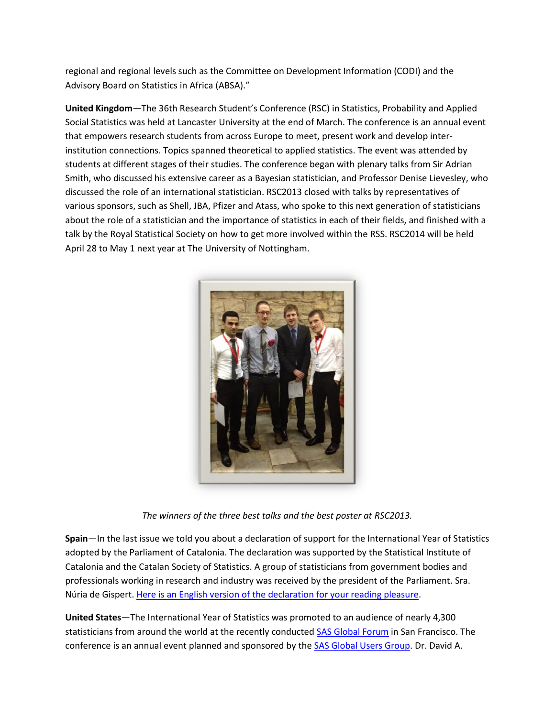regional and regional levels such as the Committee on Development Information (CODI) and the Advisory Board on Statistics in Africa (ABSA)."

**United Kingdom**—The 36th Research Student's Conference (RSC) in Statistics, Probability and Applied Social Statistics was held at Lancaster University at the end of March. The conference is an annual event that empowers research students from across Europe to meet, present work and develop interinstitution connections. Topics spanned theoretical to applied statistics. The event was attended by students at different stages of their studies. The conference began with plenary talks from Sir Adrian Smith, who discussed his extensive career as a Bayesian statistician, and Professor Denise Lievesley, who discussed the role of an international statistician. RSC2013 closed with talks by representatives of various sponsors, such as Shell, JBA, Pfizer and Atass, who spoke to this next generation of statisticians about the role of a statistician and the importance of statistics in each of their fields, and finished with a talk by the Royal Statistical Society on how to get more involved within the RSS. RSC2014 will be held April 28 to May 1 next year at The University of Nottingham.



*The winners of the three best talks and the best poster at RSC2013.*

**Spain**—In the last issue we told you about a declaration of support for the International Year of Statistics adopted by the Parliament of Catalonia. The declaration was supported by the Statistical Institute of Catalonia and the Catalan Society of Statistics. A group of statisticians from government bodies and professionals working in research and industry was received by the president of the Parliament. Sra. Núria de Gispert. Here is an English version [of the declaration for your reading pleasure.](http://www.statistics2013.org/files/2013/05/Parliament-of-Catalonia-Statistics2013-Declaration-4-10-13.pdf)

**United States**—The International Year of Statistics was promoted to an audience of nearly 4,300 statisticians from around the world at the recently conducted [SAS Global Forum](http://support.sas.com/events/sasglobalforum/2013/index.html) in San Francisco. The conference is an annual event planned and sponsored by the **SAS Global Users Group**. Dr. David A.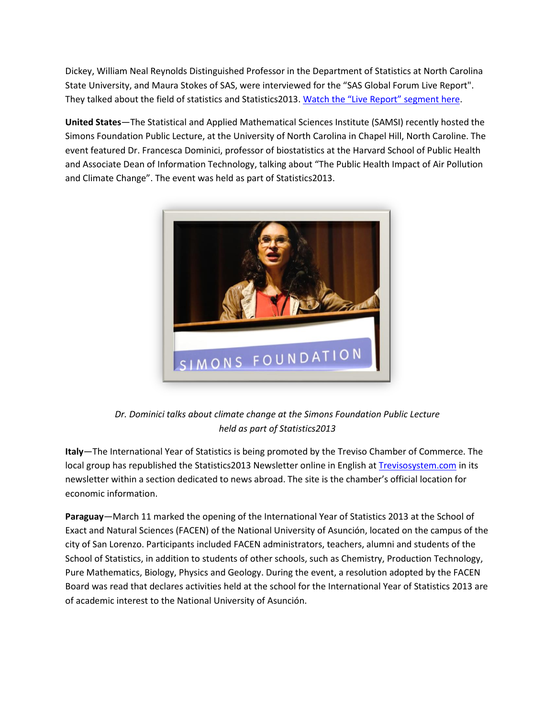Dickey, William Neal Reynolds Distinguished Professor in the Department of Statistics at North Carolina State University, and Maura Stokes of SAS, were interviewed for the "SAS Global Forum Live Report". They talked about the field of statistics and Statistics2013. Watch [the "Live Report" segment here](http://www.livestream.com/sasglobalforum/video?clipId=flv_36bc3373-d96a-4374-9614-bb43149dcae6&utm_source=lslibrary&utm_medium=ui-thumb).

**United States**—The Statistical and Applied Mathematical Sciences Institute (SAMSI) recently hosted the Simons Foundation Public Lecture, at the University of North Carolina in Chapel Hill, North Caroline. The event featured Dr. Francesca Dominici, professor of biostatistics at the Harvard School of Public Health and Associate Dean of Information Technology, talking about "The Public Health Impact of Air Pollution and Climate Change". The event was held as part of Statistics2013.



*Dr. Dominici talks about climate change at the Simons Foundation Public Lecture held as part of Statistics2013*

**Italy**—The International Year of Statistics is being promoted by the Treviso Chamber of Commerce. The local group has republished the Statistics2013 Newsletter online in English at [Trevisosystem.com](http://www.trevisosystem-online.com/tvsys/homeGB/archivio-news/NewsDEF.asp) in its newsletter within a section dedicated to news abroad. The site is the chamber's official location for economic information.

**Paraguay**—March 11 marked the opening of the International Year of Statistics 2013 at the School of Exact and Natural Sciences (FACEN) of the National University of Asunción, located on the campus of the city of San Lorenzo. Participants included FACEN administrators, teachers, alumni and students of the School of Statistics, in addition to students of other schools, such as Chemistry, Production Technology, Pure Mathematics, Biology, Physics and Geology. During the event, a resolution adopted by the FACEN Board was read that declares activities held at the school for the International Year of Statistics 2013 are of academic interest to the National University of Asunción.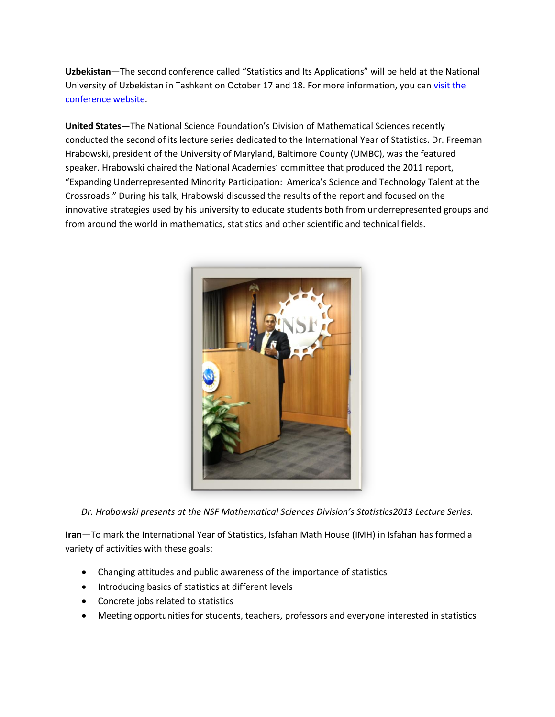**Uzbekistan**—The second conference called "Statistics and Its Applications" will be held at the National University of Uzbekistan in Tashkent on October 17 and 18. For more information, you ca[n visit the](http://www.nuu.uz/about/219-statistika-konferensiya.html)  [conference website.](http://www.nuu.uz/about/219-statistika-konferensiya.html)

**United States**—The National Science Foundation's Division of Mathematical Sciences recently conducted the second of its lecture series dedicated to the International Year of Statistics. Dr. Freeman Hrabowski, president of the University of Maryland, Baltimore County (UMBC), was the featured speaker. Hrabowski chaired the National Academies' committee that produced the 2011 report, "Expanding Underrepresented Minority Participation: America's Science and Technology Talent at the Crossroads." During his talk, Hrabowski discussed the results of the report and focused on the innovative strategies used by his university to educate students both from underrepresented groups and from around the world in mathematics, statistics and other scientific and technical fields.



*Dr. Hrabowski presents at the NSF Mathematical Sciences Division's Statistics2013 Lecture Series.*

**Iran**—To mark the International Year of Statistics, Isfahan Math House (IMH) in Isfahan has formed a variety of activities with these goals:

- Changing attitudes and public awareness of the importance of statistics
- Introducing basics of statistics at different levels
- Concrete jobs related to statistics
- Meeting opportunities for students, teachers, professors and everyone interested in statistics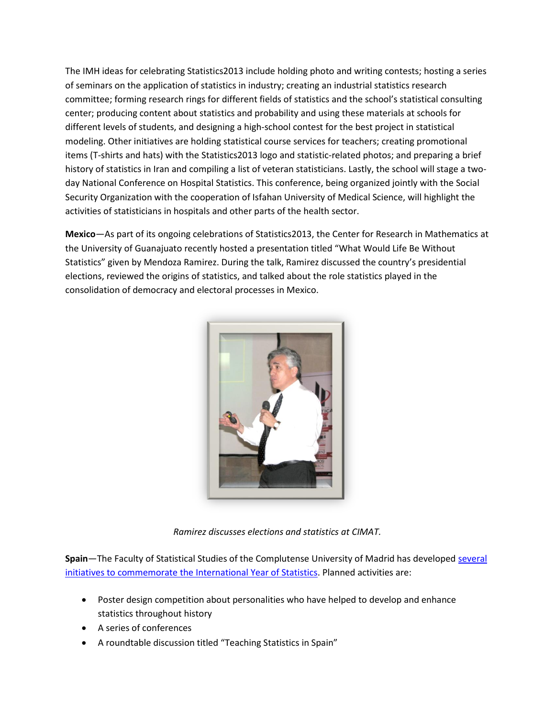The IMH ideas for celebrating Statistics2013 include holding photo and writing contests; hosting a series of seminars on the application of statistics in industry; creating an industrial statistics research committee; forming research rings for different fields of statistics and the school's statistical consulting center; producing content about statistics and probability and using these materials at schools for different levels of students, and designing a high-school contest for the best project in statistical modeling. Other initiatives are holding statistical course services for teachers; creating promotional items (T-shirts and hats) with the Statistics2013 logo and statistic-related photos; and preparing a brief history of statistics in Iran and compiling a list of veteran statisticians. Lastly, the school will stage a twoday National Conference on Hospital Statistics. This conference, being organized jointly with the Social Security Organization with the cooperation of Isfahan University of Medical Science, will highlight the activities of statisticians in hospitals and other parts of the health sector.

**Mexico**—As part of its ongoing celebrations of Statistics2013, the Center for Research in Mathematics at the University of Guanajuato recently hosted a presentation titled "What Would Life Be Without Statistics" given by Mendoza Ramirez. During the talk, Ramirez discussed the country's presidential elections, reviewed the origins of statistics, and talked about the role statistics played in the consolidation of democracy and electoral processes in Mexico.



*Ramirez discusses elections and statistics at CIMAT.*

**Spain**—The Faculty of Statistical Studies of the Complutense University of Madrid has develope[d several](http://estudiosestadisticos.ucm.es/idys)  [initiatives to commemorate the International Year of Statistics.](http://estudiosestadisticos.ucm.es/idys) Planned activities are:

- Poster design competition about personalities who have helped to develop and enhance statistics throughout history
- A series of conferences
- A roundtable discussion titled "Teaching Statistics in Spain"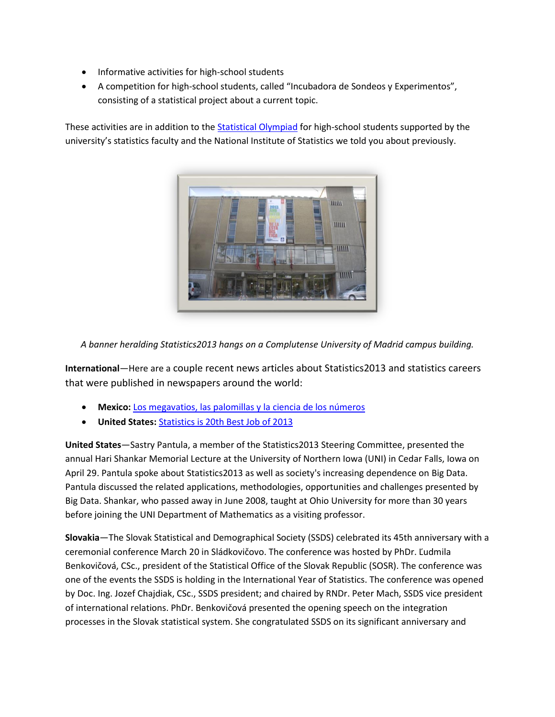- Informative activities for high-school students
- A competition for high-school students, called "Incubadora de Sondeos y Experimentos", consisting of a statistical project about a current topic.

These activities are in addition to the [Statistical](http://estudiosestadisticos.ucm.es/olimpiada-estadistica) Olympiad for high-school students supported by the university's statistics faculty and the National Institute of Statistics we told you about previously.



*A banner heralding Statistics2013 hangs on a Complutense University of Madrid campus building.*

**International**—Here are a couple recent news articles about Statistics2013 and statistics careers that were published in newspapers around the world:

- **Mexico:** [Los megavatios, las palomillas y la ciencia de los números](http://www.milenio.com/cdb/doc/impreso/9178889)
- **United States:** [Statistics is 20th Best Job of 2013](http://www.telegraph.co.uk/finance/jobs/10012272/Revealed-the-best-jobs-to-pursue-as-a-career.html)

**United States**—Sastry Pantula, a member of the Statistics2013 Steering Committee, presented the annual Hari Shankar Memorial Lecture at the University of Northern Iowa (UNI) in Cedar Falls, Iowa on April 29. Pantula spoke about Statistics2013 as well as society's increasing dependence on Big Data. Pantula discussed the related applications, methodologies, opportunities and challenges presented by Big Data. Shankar, who passed away in June 2008, taught at Ohio University for more than 30 years before joining the UNI Department of Mathematics as a visiting professor.

**Slovakia**—The Slovak Statistical and Demographical Society (SSDS) celebrated its 45th anniversary with a ceremonial conference March 20 in Sládkovičovo. The conference was hosted by PhDr. Ľudmila Benkovičová, CSc., president of the Statistical Office of the Slovak Republic (SOSR). The conference was one of the events the SSDS is holding in the International Year of Statistics. The conference was opened by Doc. Ing. Jozef Chajdiak, CSc., SSDS president; and chaired by RNDr. Peter Mach, SSDS vice president of international relations. PhDr. Benkovičová presented the opening speech on the integration processes in the Slovak statistical system. She congratulated SSDS on its significant anniversary and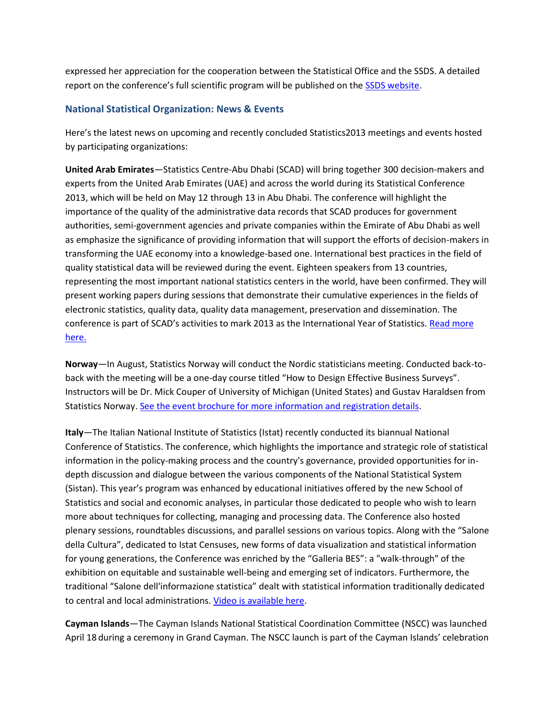expressed her appreciation for the cooperation between the Statistical Office and the SSDS. A detailed report on the conference's full scientific program will be published on the [SSDS website.](http://www.ssds.sk/)

# **National Statistical Organization: News & Events**

Here's the latest news on upcoming and recently concluded Statistics2013 meetings and events hosted by participating organizations:

**United Arab Emirates**—Statistics Centre-Abu Dhabi (SCAD) will bring together 300 decision-makers and experts from the United Arab Emirates (UAE) and across the world during its Statistical Conference 2013, which will be held on May 12 through 13 in Abu Dhabi. The conference will highlight the importance of the quality of the administrative data records that SCAD produces for government authorities, semi-government agencies and private companies within the Emirate of Abu Dhabi as well as emphasize the significance of providing information that will support the efforts of decision-makers in transforming the UAE economy into a knowledge-based one. International best practices in the field of quality statistical data will be reviewed during the event. Eighteen speakers from 13 countries, representing the most important national statistics centers in the world, have been confirmed. They will present working papers during sessions that demonstrate their cumulative experiences in the fields of electronic statistics, quality data, quality data management, preservation and dissemination. The conference is part of SCAD's activities to mark 2013 as the International Year of Statistics. [Read more](http://www.statistics2013.org/2013/04/29/abu-dhabi-to-host-international-statistics-conference/)  [here.](http://www.statistics2013.org/2013/04/29/abu-dhabi-to-host-international-statistics-conference/)

**Norway**—In August, Statistics Norway will conduct the Nordic statisticians meeting. Conducted back-toback with the meeting will be a one-day course titled "How to Design Effective Business Surveys". Instructors will be Dr. Mick Couper of University of Michigan (United States) and Gustav Haraldsen from Statistics Norway. [See the event brochure for more information and registration details.](http://www.statistics2013.org/files/2013/05/Statistics-Norway-5-6-13.pdf)

**Italy**—The Italian National Institute of Statistics (Istat) recently conducted its biannual National Conference of Statistics. The conference, which highlights the importance and strategic role of statistical information in the policy-making process and the country's governance, provided opportunities for indepth discussion and dialogue between the various components of the National Statistical System (Sistan). This year's program was enhanced by educational initiatives offered by the new School of Statistics and social and economic analyses, in particular those dedicated to people who wish to learn more about techniques for collecting, managing and processing data. The Conference also hosted plenary sessions, roundtables discussions, and parallel sessions on various topics. Along with the "Salone della Cultura", dedicated to Istat Censuses, new forms of data visualization and statistical information for young generations, the Conference was enriched by the "Galleria BES": a "walk-through" of the exhibition on equitable and sustainable well-being and emerging set of indicators. Furthermore, the traditional "Salone dell'informazione statistica" dealt with statistical information traditionally dedicated to central and local administrations. Video [is available here.](http://www.youtube.com/watch?v=DzfsgaNk5xM&list=PL0vceHDeWbogxfwTNNGekBy_eVmdUSlxK&index=1)

**Cayman Islands**—The Cayman Islands National Statistical Coordination Committee (NSCC) was launched April 18 during a ceremony in Grand Cayman. The NSCC launch is part of the Cayman Islands' celebration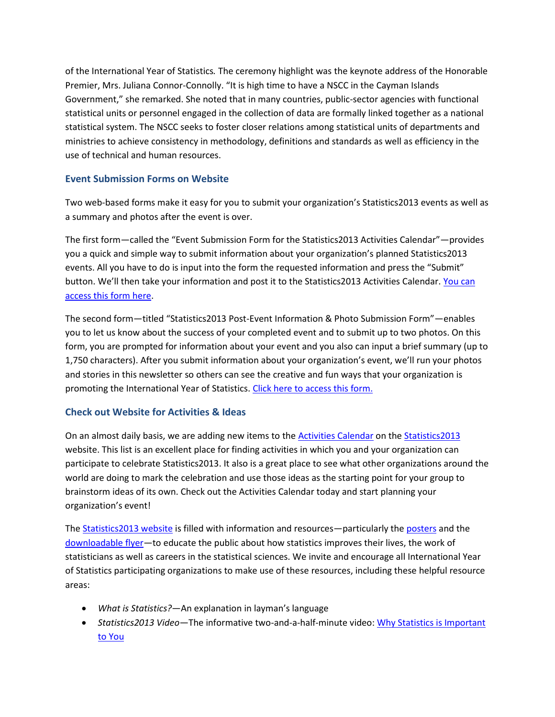of the International Year of Statistics*.* The ceremony highlight was the keynote address of the Honorable Premier, Mrs. Juliana Connor-Connolly. "It is high time to have a NSCC in the Cayman Islands Government," she remarked. She noted that in many countries, public-sector agencies with functional statistical units or personnel engaged in the collection of data are formally linked together as a national statistical system. The NSCC seeks to foster closer relations among statistical units of departments and ministries to achieve consistency in methodology, definitions and standards as well as efficiency in the use of technical and human resources.

# **Event Submission Forms on Website**

Two web-based forms make it easy for you to submit your organization's Statistics2013 events as well as a summary and photos after the event is over.

The first form—called the "Event Submission Form for the Statistics2013 Activities Calendar"—provides you a quick and simple way to submit information about your organization's planned Statistics2013 events. All you have to do is input into the form the requested information and press the "Submit" button. We'll then take your information and post it to the Statistics2013 Activities Calendar. [You can](http://www.statistics2013.org/iyos/submitactivity.cfm)  [access this form here.](http://www.statistics2013.org/iyos/submitactivity.cfm)

The second form—titled "Statistics2013 Post-Event Information & Photo Submission Form"—enables you to let us know about the success of your completed event and to submit up to two photos. On this form, you are prompted for information about your event and you also can input a brief summary (up to 1,750 characters). After you submit information about your organization's event, we'll run your photos and stories in this newsletter so others can see the creative and fun ways that your organization is promoting the International Year of Statistics. Click here to [access this form.](http://www.statistics2013.org/iyos/submitarticle.cfm)

# **Check out Website for Activities & Ideas**

On an almost daily basis, we are adding new items to the [Activities Calendar](http://www.statistics2013.org/statistics2013-global-supporters/activities/) on the [Statistics2013](http://www.statistics2013.org/) website. This list is an excellent place for finding activities in which you and your organization can participate to celebrate Statistics2013. It also is a great place to see what other organizations around the world are doing to mark the celebration and use those ideas as the starting point for your group to brainstorm ideas of its own. Check out the Activities Calendar today and start planning your organization's event!

The [Statistics2013 website](http://www.statistics2013.org/) is filled with information and resources—particularly th[e posters](http://www.statistics2013.org/statistics2013-posters/) and the [downloadable flyer](http://www.statistics2013.org/files/2012/11/STAT2013-Flyer.pdf)—to educate the public about how statistics improves their lives, the work of statisticians as well as careers in the statistical sciences. We invite and encourage all International Year of Statistics participating organizations to make use of these resources, including these helpful resource areas:

- *What is Statistics?*—An explanation in layman's language
- *Statistics2013 Video*—The informative two-and-a-half-minute video: [Why Statistics is Important](http://www.statistics2013.org/)  [to You](http://www.statistics2013.org/)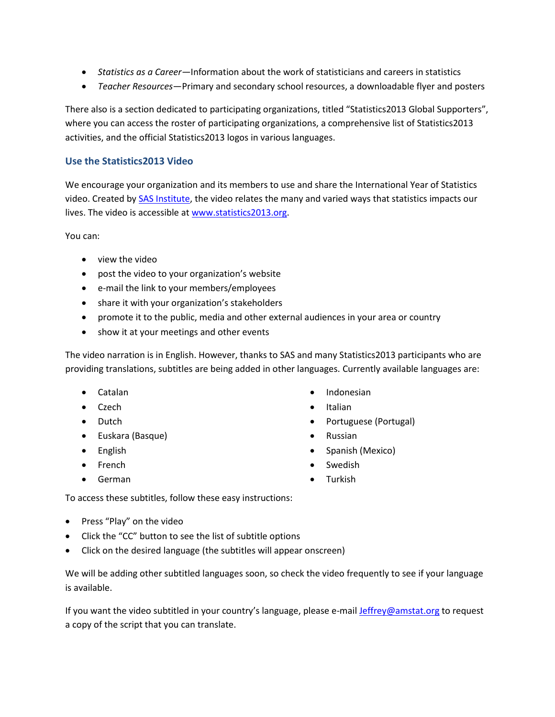- *Statistics as a Career—*Information about the work of statisticians and careers in statistics
- *Teacher Resources*—Primary and secondary school resources, a downloadable flyer and posters

There also is a section dedicated to participating organizations, titled "Statistics2013 Global Supporters", where you can access the roster of participating organizations, a comprehensive list of Statistics2013 activities, and the official Statistics2013 logos in various languages.

#### **Use the Statistics2013 Video**

We encourage your organization and its members to use and share the International Year of Statistics video. Created by [SAS Institute,](http://www.sas.com/) the video relates the many and varied ways that statistics impacts our lives. The video is accessible at [www.statistics2013.org.](http://www.statistics2013.org/)

You can:

- view the video
- post the video to your organization's website
- e-mail the link to your members/employees
- share it with your organization's stakeholders
- promote it to the public, media and other external audiences in your area or country
- show it at your meetings and other events

The video narration is in English. However, thanks to SAS and many Statistics2013 participants who are providing translations, subtitles are being added in other languages. Currently available languages are:

- Catalan
- Czech
- Dutch
- Euskara (Basque)
- English
- French
- German
- Indonesian
- Italian
- Portuguese (Portugal)
- Russian
- Spanish (Mexico)
- Swedish
- Turkish

To access these subtitles, follow these easy instructions:

- Press "Play" on the video
- Click the "CC" button to see the list of subtitle options
- Click on the desired language (the subtitles will appear onscreen)

We will be adding other subtitled languages soon, so check the video frequently to see if your language is available.

If you want the video subtitled in your country's language, please e-mai[l Jeffrey@amstat.org](mailto:Jeffrey@amstat.org) to request a copy of the script that you can translate.